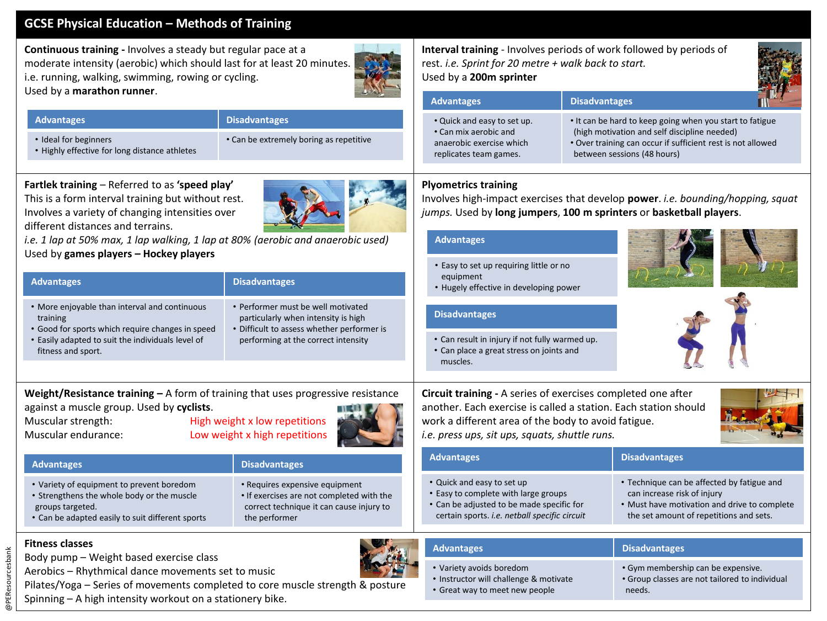# **GCSE Physical Education – Methods of Training**

**Continuous training -** Involves a steady but regular pace at a moderate intensity (aerobic) which should last for at least 20 minutes. i.e. running, walking, swimming, rowing or cycling. Used by a **marathon runner**.



#### **Advantages Disadvantages**

• Ideal for beginners

- 
- Highly effective for long distance athletes
- Can be extremely boring as repetitive

**Fartlek training** – Referred to as **'speed play'** This is a form interval training but without rest. Involves a variety of changing intensities over different distances and terrains.

*i.e. 1 lap at 50% max, 1 lap walking, 1 lap at 80% (aerobic and anaerobic used)* Used by **games players – Hockey players**

| <b>Advantages</b>                                                                                                                                                                                                                              | <b>Disadvantages</b>                                                                                                                                           | Lasy to set up requiring intie or no<br>equipment<br>• Hugely effective in developing power                                                                                                                                              |                                                                                                                                                                     |
|------------------------------------------------------------------------------------------------------------------------------------------------------------------------------------------------------------------------------------------------|----------------------------------------------------------------------------------------------------------------------------------------------------------------|------------------------------------------------------------------------------------------------------------------------------------------------------------------------------------------------------------------------------------------|---------------------------------------------------------------------------------------------------------------------------------------------------------------------|
| . More enjoyable than interval and continuous<br>training<br>• Good for sports which require changes in speed<br>• Easily adapted to suit the individuals level of<br>fitness and sport.                                                       | • Performer must be well motivated<br>particularly when intensity is high<br>• Difficult to assess whether performer is<br>performing at the correct intensity | <b>Disadvantages</b><br>• Can result in injury if not fully warmed up.<br>• Can place a great stress on joints and<br>muscles.                                                                                                           |                                                                                                                                                                     |
| Weight/Resistance training $-$ A form of training that uses progressive resistance<br>against a muscle group. Used by cyclists.<br>High weight x low repetitions<br>Muscular strength:<br>Low weight x high repetitions<br>Muscular endurance: |                                                                                                                                                                | Circuit training - A series of exercises completed one after<br>another. Each exercise is called a station. Each station should<br>work a different area of the body to avoid fatigue.<br>i.e. press ups, sit ups, squats, shuttle runs. |                                                                                                                                                                     |
| <b>Advantages</b>                                                                                                                                                                                                                              | <b>Disadvantages</b>                                                                                                                                           | <b>Advantages</b>                                                                                                                                                                                                                        | <b>Disadvantages</b>                                                                                                                                                |
| • Variety of equipment to prevent boredom<br>• Strengthens the whole body or the muscle<br>groups targeted.<br>• Can be adapted easily to suit different sports                                                                                | • Requires expensive equipment<br>. If exercises are not completed with the<br>correct technique it can cause injury to<br>the performer                       | • Quick and easy to set up<br>• Easy to complete with large groups<br>• Can be adjusted to be made specific for<br>certain sports. i.e. netball specific circuit                                                                         | • Technique can be affected by fatigue and<br>can increase risk of injury<br>. Must have motivation and drive to complet<br>the set amount of repetitions and sets. |
|                                                                                                                                                                                                                                                |                                                                                                                                                                |                                                                                                                                                                                                                                          |                                                                                                                                                                     |
| <b>Fitness classes</b>                                                                                                                                                                                                                         |                                                                                                                                                                | <b>Advantages</b>                                                                                                                                                                                                                        | <b>Disadvantages</b>                                                                                                                                                |
| Body pump – Weight based exercise class<br>Aerobics - Rhythmical dance movements set to music                                                                                                                                                  |                                                                                                                                                                | • Variety avoids boredom                                                                                                                                                                                                                 | · Gym membership can be expensive.                                                                                                                                  |



**Interval training** - Involves periods of work followed by periods of rest. *i.e. Sprint for 20 metre + walk back to start.* Used by a **200m sprinter**

| <b>Advantages</b>                                                                                          | <b>Disadvantages</b>                                                                                                                                                                                   |  |
|------------------------------------------------------------------------------------------------------------|--------------------------------------------------------------------------------------------------------------------------------------------------------------------------------------------------------|--|
| . Quick and easy to set up.<br>• Can mix aerobic and<br>anaerobic exercise which<br>replicates team games. | • It can be hard to keep going when you start to fatigue<br>(high motivation and self discipline needed)<br>• Over training can occur if sufficient rest is not allowed<br>between sessions (48 hours) |  |

## **Plyometrics training**

Involves high-impact exercises that develop **power**. *i.e. bounding/hopping, squat jumps.* Used by **long jumpers**, **100 m sprinters** or **basketball players**.

### **Advantages**

• Easy to set up requiring little or no

• Great way to meet new people

| antages                               |  |  |  |  |
|---------------------------------------|--|--|--|--|
|                                       |  |  |  |  |
| ique can be affected by fatigue and   |  |  |  |  |
| والمروانيات الأسراء المائين المستسمسة |  |  |  |  |

| <b>Advantages</b>                      | <b>Disadvantages</b>                           |
|----------------------------------------|------------------------------------------------|
| • Variety avoids boredom               | • Gym membership can be expensive.             |
| • Instructor will challenge & motivate | • Group classes are not tailored to individual |
| • Great way to meet new people         | needs.                                         |